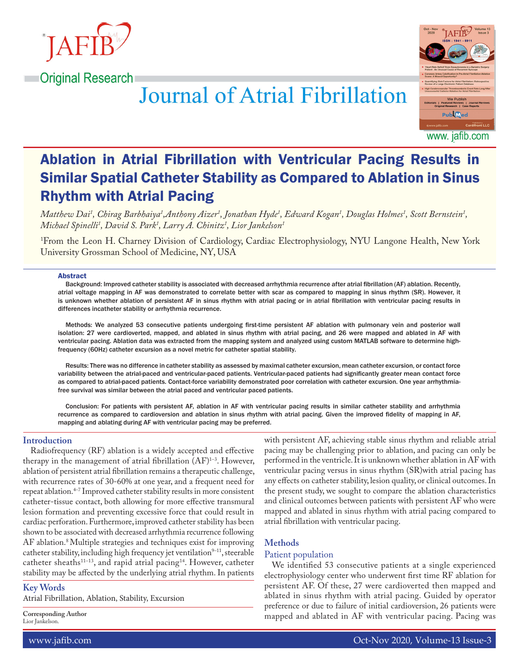





www. jafib.com

# Ablation in Atrial Fibrillation with Ventricular Pacing Results in Similar Spatial Catheter Stability as Compared to Ablation in Sinus Rhythm with Atrial Pacing

Matthew Dai<sup>1</sup>, Chirag Barbhaiya<sup>1</sup>,Anthony Aizer<sup>1</sup>, Jonathan Hyde<sup>1</sup>, Edward Kogan<sup>1</sup>, Douglas Holmes<sup>1</sup>, Scott Bernstein<sup>1</sup>, *Michael Spinelli1 , David S. Park1 , Larry A. Chinitz1 , Lior Jankelson1*

1 From the Leon H. Charney Division of Cardiology, Cardiac Electrophysiology, NYU Langone Health, New York University Grossman School of Medicine, NY, USA

#### Abstract

Background: Improved catheter stability is associated with decreased arrhythmia recurrence after atrial fibrillation (AF) ablation. Recently, atrial voltage mapping in AF was demonstrated to correlate better with scar as compared to mapping in sinus rhythm (SR). However, it is unknown whether ablation of persistent AF in sinus rhythm with atrial pacing or in atrial fibrillation with ventricular pacing results in differences incatheter stability or arrhythmia recurrence.

Methods: We analyzed 53 consecutive patients undergoing first-time persistent AF ablation with pulmonary vein and posterior wall isolation: 27 were cardioverted, mapped, and ablated in sinus rhythm with atrial pacing, and 26 were mapped and ablated in AF with ventricular pacing. Ablation data was extracted from the mapping system and analyzed using custom MATLAB software to determine highfrequency (60Hz) catheter excursion as a novel metric for catheter spatial stability.

Results: There was no difference in catheter stability as assessed by maximal catheter excursion, mean catheter excursion, or contact force variability between the atrial-paced and ventricular-paced patients. Ventricular-paced patients had significantly greater mean contact force as compared to atrial-paced patients. Contact-force variability demonstrated poor correlation with catheter excursion. One year arrhythmiafree survival was similar between the atrial paced and ventricular paced patients.

Conclusion: For patients with persistent AF, ablation in AF with ventricular pacing results in similar catheter stability and arrhythmia recurrence as compared to cardioversion and ablation in sinus rhythm with atrial pacing. Given the improved fidelity of mapping in AF, mapping and ablating during AF with ventricular pacing may be preferred.

## **Introduction**

Radiofrequency (RF) ablation is a widely accepted and effective therapy in the management of atrial fibrillation  $(AF)^{1-3}$ . However, ablation of persistent atrial fibrillation remains a therapeutic challenge, with recurrence rates of 30-60% at one year, and a frequent need for repeat ablation.4–7 Improved catheter stability results in more consistent catheter-tissue contact, both allowing for more effective transmural lesion formation and preventing excessive force that could result in cardiac perforation. Furthermore, improved catheter stability has been shown to be associated with decreased arrhythmia recurrence following AF ablation.8 Multiple strategies and techniques exist for improving catheter stability, including high frequency jet ventilation $9-11$ , steerable catheter sheaths<sup>11-13</sup>, and rapid atrial pacing<sup>14</sup>. However, catheter stability may be affected by the underlying atrial rhythm. In patients

# **Key Words**

Atrial Fibrillation, Ablation, Stability, Excursion

**Corresponding Author** Lior Jankelson.

with persistent AF, achieving stable sinus rhythm and reliable atrial pacing may be challenging prior to ablation, and pacing can only be performed in the ventricle. It is unknown whether ablation in AF with ventricular pacing versus in sinus rhythm (SR)with atrial pacing has any effects on catheter stability, lesion quality, or clinical outcomes. In the present study, we sought to compare the ablation characteristics and clinical outcomes between patients with persistent AF who were mapped and ablated in sinus rhythm with atrial pacing compared to atrial fibrillation with ventricular pacing.

# **Methods**

# Patient population

We identified 53 consecutive patients at a single experienced electrophysiology center who underwent first time RF ablation for persistent AF. Of these, 27 were cardioverted then mapped and ablated in sinus rhythm with atrial pacing. Guided by operator preference or due to failure of initial cardioversion, 26 patients were mapped and ablated in AF with ventricular pacing. Pacing was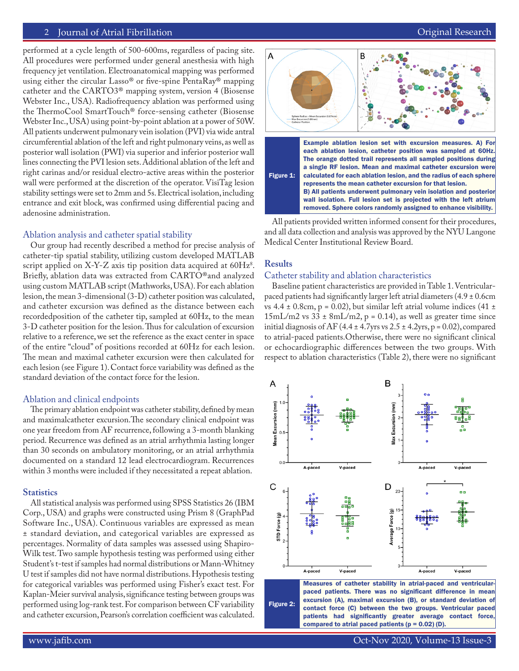# 2 Journal of Atrial Fibrillation **Community Community** Community Community Community Community Community Community

performed at a cycle length of 500-600ms, regardless of pacing site. All procedures were performed under general anesthesia with high frequency jet ventilation. Electroanatomical mapping was performed using either the circular Lasso® or five-spine PentaRay® mapping catheter and the CARTO3® mapping system, version 4 (Biosense Webster Inc., USA). Radiofrequency ablation was performed using the ThermoCool SmartTouch® force-sensing catheter (Biosense Webster Inc., USA) using point-by-point ablation at a power of 50W. All patients underwent pulmonary vein isolation (PVI) via wide antral circumferential ablation of the left and right pulmonary veins, as well as posterior wall isolation (PWI) via superior and inferior posterior wall lines connecting the PVI lesion sets. Additional ablation of the left and right carinas and/or residual electro-active areas within the posterior wall were performed at the discretion of the operator. VisiTag lesion stability settings were set to 2mm and 5s. Electrical isolation, including entrance and exit block, was confirmed using differential pacing and adenosine administration.

#### Ablation analysis and catheter spatial stability

Our group had recently described a method for precise analysis of catheter-tip spatial stability, utilizing custom developed MATLAB script applied on X-Y-Z axis tip position data acquired at 60Hz $^{\rm 8}.$ Briefly, ablation data was extracted from CARTO®and analyzed using custom MATLAB script (Mathworks, USA). For each ablation lesion, the mean 3-dimensional (3-D) catheter position was calculated, and catheter excursion was defined as the distance between each recordedposition of the catheter tip, sampled at 60Hz, to the mean 3-D catheter position for the lesion. Thus for calculation of excursion relative to a reference, we set the reference as the exact center in space of the entire "cloud" of positions recorded at 60Hz for each lesion. The mean and maximal catheter excursion were then calculated for each lesion (see Figure 1). Contact force variability was defined as the standard deviation of the contact force for the lesion.

#### Ablation and clinical endpoints

The primary ablation endpoint was catheter stability, defined by mean and maximalcatheter excursion.The secondary clinical endpoint was one year freedom from AF recurrence, following a 3-month blanking period. Recurrence was defined as an atrial arrhythmia lasting longer than 30 seconds on ambulatory monitoring, or an atrial arrhythmia documented on a standard 12 lead electrocardiogram. Recurrences within 3 months were included if they necessitated a repeat ablation.

#### **Statistics**

All statistical analysis was performed using SPSS Statistics 26 (IBM Corp., USA) and graphs were constructed using Prism 8 (GraphPad Software Inc., USA). Continuous variables are expressed as mean ± standard deviation, and categorical variables are expressed as percentages. Normality of data samples was assessed using Shapiro-Wilk test. Two sample hypothesis testing was performed using either Student's t-test if samples had normal distributions or Mann-Whitney U test if samples did not have normal distributions. Hypothesis testing for categorical variables was performed using Fisher's exact test. For Kaplan-Meier survival analysis, significance testing between groups was performed using log-rank test. For comparison between CF variability and catheter excursion, Pearson's correlation coefficient was calculated.



All patients provided written informed consent for their procedures, and all data collection and analysis was approved by the NYU Langone Medical Center Institutional Review Board.

## **Results**

#### Catheter stability and ablation characteristics

Baseline patient characteristics are provided in Table 1. Ventricularpaced patients had significantly larger left atrial diameters (4.9 ± 0.6cm vs 4.4  $\pm$  0.8cm, p = 0.02), but similar left atrial volume indices (41  $\pm$  $15 \text{mL/m2}$  vs 33 ± 8mL/m2, p = 0.14), as well as greater time since initial diagnosis of AF (4.4  $\pm$  4.7 yrs vs 2.5  $\pm$  4.2 yrs, p = 0.02), compared to atrial-paced patients.Otherwise, there were no significant clinical or echocardiographic differences between the two groups. With respect to ablation characteristics (Table 2), there were no significant



Figure 2: Measures of catheter stability in atrial-paced and ventricularpaced patients. There was no significant difference in mean excursion (A), maximal excursion (B), or standard deviation of contact force (C) between the two groups. Ventricular paced patients had significantly greater average contact force, compared to atrial paced patients  $(p = 0.02)$  (D).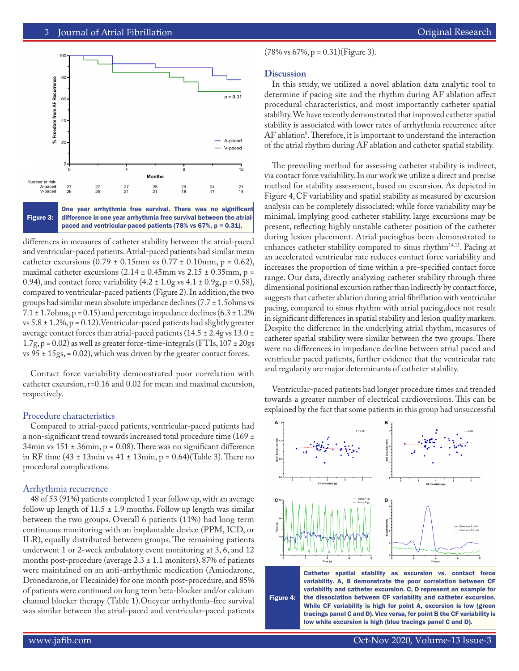

Figure 3: difference in one year arrhythmia free survival between the atrialpaced and ventricular-paced patients (78% vs 67%, p = 0.31).

differences in measures of catheter stability between the atrial-paced and ventricular-paced patients. Atrial-paced patients had similar mean catheter excursions  $(0.79 \pm 0.15 \text{mm}$  vs  $0.77 \pm 0.10 \text{mm}$ , p = 0.62), maximal catheter excursions  $(2.14 \pm 0.45 \text{mm} \text{ vs } 2.15 \pm 0.35 \text{mm} \text{, p} =$ 0.94), and contact force variability  $(4.2 \pm 1.0)$ g vs  $4.1 \pm 0.9$ g, p = 0.58), compared to ventricular-paced patients (Figure 2). In addition, the two groups had similar mean absolute impedance declines (7.7 ± 1.5ohms vs  $7.1 \pm 1.7$ ohms, p = 0.15) and percentage impedance declines (6.3  $\pm$  1.2% vs  $5.8 \pm 1.2\%$ , p = 0.12). Ventricular-paced patients had slightly greater average contact forces than atrial-paced patients ( $14.5 \pm 2.4$ g vs  $13.0 \pm 1.0$  $1.7g$ ,  $p = 0.02$ ) as well as greater force-time-integrals (FTIs,  $107 \pm 20gs$ vs  $95 \pm 15$ gs, = 0.02), which was driven by the greater contact forces.

Contact force variability demonstrated poor correlation with catheter excursion, r=0.16 and 0.02 for mean and maximal excursion, respectively.

## Procedure characteristics

Compared to atrial-paced patients, ventricular-paced patients had a non-significant trend towards increased total procedure time (169 ± 34min vs  $151 \pm 36$ min, p = 0.08). There was no significant difference in RF time (43  $\pm$  13min vs 41  $\pm$  13min, p = 0.64)(Table 3). There no procedural complications.

## Arrhythmia recurrence

48 of 53 (91%) patients completed 1 year follow up, with an average follow up length of  $11.5 \pm 1.9$  months. Follow up length was similar between the two groups. Overall 6 patients (11%) had long term continuous monitoring with an implantable device (PPM, ICD, or ILR), equally distributed between groups. The remaining patients underwent 1 or 2-week ambulatory event monitoring at 3, 6, and 12 months post-procedure (average  $2.3 \pm 1.1$  monitors). 87% of patients were maintained on an anti-arrhythmic medication (Amiodarone, Dronedarone, or Flecainide) for one month post-procedure, and 85% of patients were continued on long term beta-blocker and/or calcium channel blocker therapy (Table 1).Oneyear arrhythmia-free survival was similar between the atrial-paced and ventricular-paced patients

 $(78\% \text{ vs } 67\%, \text{ p} = 0.31)(\text{Figure 3}).$ 

# **Discussion**

In this study, we utilized a novel ablation data analytic tool to determine if pacing site and the rhythm during AF ablation affect procedural characteristics, and most importantly catheter spatial stability. We have recently demonstrated that improved catheter spatial stability is associated with lower rates of arrhythmia recurrence after AF ablation<sup>8</sup>. Therefore, it is important to understand the interaction of the atrial rhythm during AF ablation and catheter spatial stability.

The prevailing method for assessing catheter stability is indirect, via contact force variability. In our work we utilize a direct and precise method for stability assessment, based on excursion. As depicted in Figure 4, CF variability and spatial stability as measured by excursion analysis can be completely dissociated: while force variability may be minimal, implying good catheter stability, large excursions may be present, reflecting highly unstable catheter position of the catheter during lesion placement. Atrial pacinghas been demonstrated to enhances catheter stability compared to sinus rhythm<sup>14,15</sup>. Pacing at an accelerated ventricular rate reduces contact force variability and increases the proportion of time within a pre-specified contact force range. Our data, directly analyzing catheter stability through three dimensional positional excursion rather than indirectly by contact force, suggests that catheter ablation during atrial fibrillation with ventricular pacing, compared to sinus rhythm with atrial pacing,does not result in significant differences in spatial stability and lesion quality markers. Despite the difference in the underlying atrial rhythm, measures of catheter spatial stability were similar between the two groups. There were no differences in impedance decline between atrial paced and ventricular paced patients, further evidence that the ventricular rate and regularity are major determinants of catheter stability.

Ventricular-paced patients had longer procedure times and trended towards a greater number of electrical cardioversions. This can be explained by the fact that some patients in this group had unsuccessful



Figure 4: Catheter spatial stability as excursion vs. contact force variability. A, B demonstrate the poor correlation between CF variability and catheter excursion. C, D represent an example for the dissociation between CF variability and catheter excursion. While CF variability is high for point A, excursion is low (green tracings panel C and D). Vice versa, for point B the CF variability is low while excursion is high (blue tracings panel C and D).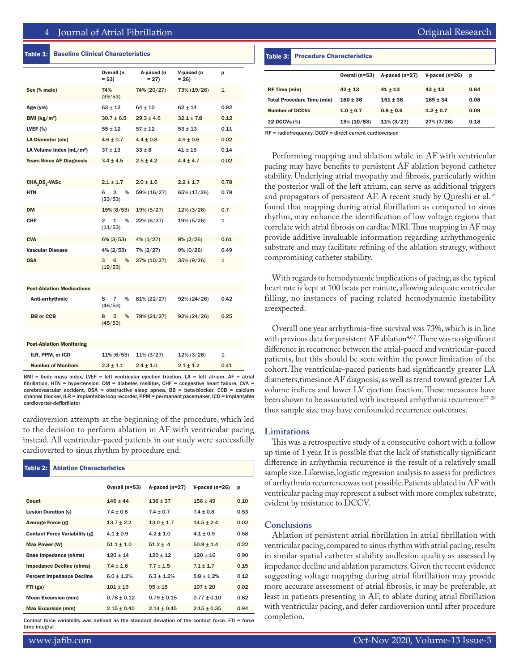## Table 1: Baseline Clinical Characteristics

|                                  | Overall (n<br>$= 53$                   | A-paced (n<br>$= 27$ | V-paced (n<br>$= 26$ | p            |
|----------------------------------|----------------------------------------|----------------------|----------------------|--------------|
| Sex (% male)                     | 74%<br>(39/53)                         | 74% (20/27)          | 73% (19/26)          | 1            |
| Age (yrs)                        | $63 \pm 12$                            | $64 \pm 10$          | $62 \pm 14$          | 0.92         |
| BMI ( $\text{kg/m}^2$ )          | $30.7 \pm 6.5$                         | $29.3 \pm 4.6$       | $32.1 \pm 7.8$       | 0.12         |
| LVEF $(%)$                       | $55 + 12$                              | $57 + 12$            | $53 + 13$            | 0.11         |
| LA Diameter (cm)                 | $4.6 \pm 0.7$                          | $4.4 \pm 0.8$        | $4.9 \pm 0.6$        | 0.02         |
| LA Volume Index $(mL/m^2)$       | $37 \pm 13$                            | $33 \pm 8$           | $41 \pm 15$          | 0.14         |
| <b>Years Since AF Diagnosis</b>  | $3.4 \pm 4.5$                          | $2.5 \pm 4.2$        | $4.4 \pm 4.7$        | 0.02         |
|                                  |                                        |                      |                      |              |
| CHA, DS, -VASc                   | $2.1 \pm 1.7$                          | $2.0 \pm 1.6$        | $2.2 \pm 1.7$        | 0.78         |
| HTN                              | $\overline{2}$<br>$\%$<br>6<br>(33/53) | 59% (16/27)          | 65% (17/26)          | 0.78         |
| <b>DM</b>                        | $15\% (8/53)$                          | $19\% (5/27)$        | $12\% (3/26)$        | 0.7          |
| <b>CHF</b>                       | $\overline{2}$<br>1<br>%<br>(11/53)    | 22% (6/27)           | 19% (5/26)           | 1            |
| <b>CVA</b>                       | $6\% (3/53)$                           | $4\%$ (1/27)         | $8\% (2/26)$         | 0.61         |
| <b>Vascular Disease</b>          | $4\% (2/53)$                           | 7% (2/27)            | $0\% (0/26)$         | 0.49         |
| <b>OSA</b>                       | 6<br>3<br>%<br>(19/53)                 | 37% (10/27)          | 35% (9/26)           | $\mathbf{1}$ |
|                                  |                                        |                      |                      |              |
| <b>Post-Ablation Medications</b> |                                        |                      |                      |              |
| Anti-arrhythmic                  | %<br>8<br>$\overline{7}$<br>(46/53)    | 81% (22/27)          | 92% (24/26)          | 0.42         |
| <b>BB</b> or CCB                 | 5<br>%<br>8<br>(45/53)                 | 78% (21/27)          | 92% (24/26)          | 0.25         |
|                                  |                                        |                      |                      |              |
| <b>Post-Ablation Monitoring</b>  |                                        |                      |                      |              |
| ILR, PPM, or ICD                 | $11\% (6/53)$                          | $11\% (3/27)$        | $12\% (3/26)$        | 1            |
| <b>Number of Monitors</b>        | $2.3 \pm 1.1$                          | $2.4 \pm 1.0$        | $2.1 \pm 1.2$        | 0.41         |
|                                  |                                        |                      |                      |              |

BMI = body mass index, LVEF = left ventricular ejection fraction, LA = left atrium, AF = atrial fibrillation, HTN = hypertension, DM = diabetes mellitus, CHF = congestive heart failure, CVA = cerebrovascular accident, OSA = obstructive sleep apnea, BB = beta-blocker, CCB = calcium channel blocker, ILR = implantable loop recorder, PPM = permanent pacemaker, ICD = implantable cardioverter-defibrillator

cardioversion attempts at the beginning of the procedure, which led to the decision to perform ablation in AF with ventricular pacing instead. All ventricular-paced patients in our study were successfully cardioverted to sinus rhythm by procedure end.

| Table 2:                   | <b>Ablation Characteristics</b>      |                  |                  |                          |      |  |
|----------------------------|--------------------------------------|------------------|------------------|--------------------------|------|--|
|                            |                                      |                  |                  |                          |      |  |
|                            |                                      | Overall $(n=53)$ | A-paced $(n=27)$ | $V\text{-}$ paced (n=26) | p    |  |
| Count                      |                                      | $146 \pm 44$     | $136 \pm 37$     | $156 + 49$               | 0.10 |  |
| <b>Lesion Duration (s)</b> |                                      | $7.4 \pm 0.8$    | $7.4 \pm 0.7$    | $7.4 \pm 0.8$            | 0.53 |  |
| Average Force (g)          |                                      | $13.7 + 2.2$     | $13.0 + 1.7$     | $14.5 + 2.4$             | 0.02 |  |
|                            | <b>Contact Force Variability (g)</b> | $4.1 \pm 0.9$    | $4.2 \pm 1.0$    | $4.1 \pm 0.9$            | 0.58 |  |
| Max Power (W)              |                                      | $51.1 \pm 1.0$   | $51.2 \pm .4$    | $50.9 \pm 1.4$           | 0.22 |  |
|                            | <b>Base Impedance (ohms)</b>         | $120 + 14$       | $120 + 12$       | $120 + 16$               | 0.90 |  |
|                            | <b>Impedance Decline (ohms)</b>      | $7.4 \pm 1.6$    | $7.7 \pm 1.5$    | $7.1 \pm 1.7$            | 0.15 |  |
|                            | <b>Percent Impedance Decline</b>     | $6.0 \pm 1.2\%$  | $6.3 \pm 1.2\%$  | $5.8 \pm 1.2\%$          | 0.12 |  |
| FTI (gs)                   |                                      | $101 + 19$       | $95 \pm 15$      | $107 + 20$               | 0.02 |  |
|                            | <b>Mean Excursion (mm)</b>           | $0.78 + 0.12$    | $0.79 + 0.15$    | $0.77 + 0.10$            | 0.62 |  |
|                            | <b>Max Excursion (mm)</b>            | $2.15 \pm 0.40$  | $2.14 + 0.45$    | $2.15 + 0.35$            | 0.94 |  |

Contact force variability was defined as the standard deviation of the contact force.  $FTI =$  force time integral

#### Table 3: Procedure Characteristics

|                                   | Overall $(n=53)$ | A-paced $(n=27)$ | V-paced $(n=26)$ | p    |
|-----------------------------------|------------------|------------------|------------------|------|
| <b>RF Time (min)</b>              | $42 + 13$        | $41 + 13$        | $43 + 13$        | 0.64 |
| <b>Total Procedure Time (min)</b> | $160 + 36$       | $151 + 36$       | $169 + 34$       | 0.08 |
| <b>Number of DCCVs</b>            | $1.0 + 0.7$      | $0.8 + 0.6$      | $1.2 + 0.7$      | 0.09 |
| $\geq$ 2 DCCVs (%)                | $19\%$ (10/53)   | $11\% (3/27)$    | 27% (7/26)       | 0.18 |

RF = radiofrequency, DCCV = direct current cardioversion

Performing mapping and ablation while in AF with ventricular pacing may have benefits to persistent AF ablation beyond catheter stability. Underlying atrial myopathy and fibrosis, particularly within the posterior wall of the left atrium, can serve as additional triggers and propagators of persistent AF. A recent study by Qureshi et al.<sup>16</sup> found that mapping during atrial fibrillation as compared to sinus rhythm, may enhance the identification of low voltage regions that correlate with atrial fibrosis on cardiac MRI. Thus mapping in AF may provide additive invaluable information regarding arrhythmogenic substrate and may facilitate refining of the ablation strategy, without compromising catheter stability.

With regards to hemodynamic implications of pacing, as the typical heart rate is kept at 100 beats per minute, allowing adequate ventricular filling, no instances of pacing related hemodynamic instability areexpected.

Overall one year arrhythmia-free survival was 73%, which is in line with previous data for persistent  $AF$  ablation<sup>4,6,7</sup>. There was no significant difference in recurrence between the atrial-paced and ventricular-paced patients, but this should be seen within the power limitation of the cohort.The ventricular-paced patients had significantly greater LA diameters,timesince AF diagnosis, as well as trend toward greater LA volume indices and lower LV ejection fraction. These measures have been shown to be associated with increased arrhythmia recurrence<sup>17-20</sup> thus sample size may have confounded recurrence outcomes.

### **Limitations**

This was a retrospective study of a consecutive cohort with a follow up time of 1 year. It is possible that the lack of statistically significant difference in arrhythmia recurrence is the result of a relatively small sample size. Likewise, logistic regression analysis to assess for predictors of arrhythmia recurrencewas not possible.Patients ablated in AF with ventricular pacing may represent a subset with more complex substrate, evident by resistance to DCCV.

#### **Conclusions**

Ablation of persistent atrial fibrillation in atrial fibrillation with ventricular pacing, compared to sinus rhythm with atrial pacing, results in similar spatial catheter stability andlesion quality as assessed by impedance decline and ablation parameters. Given the recent evidence suggesting voltage mapping during atrial fibrillation may provide more accurate assessment of atrial fibrosis, it may be preferable, at least in patients presenting in AF, to ablate during atrial fibrillation with ventricular pacing, and defer cardioversion until after procedure completion.